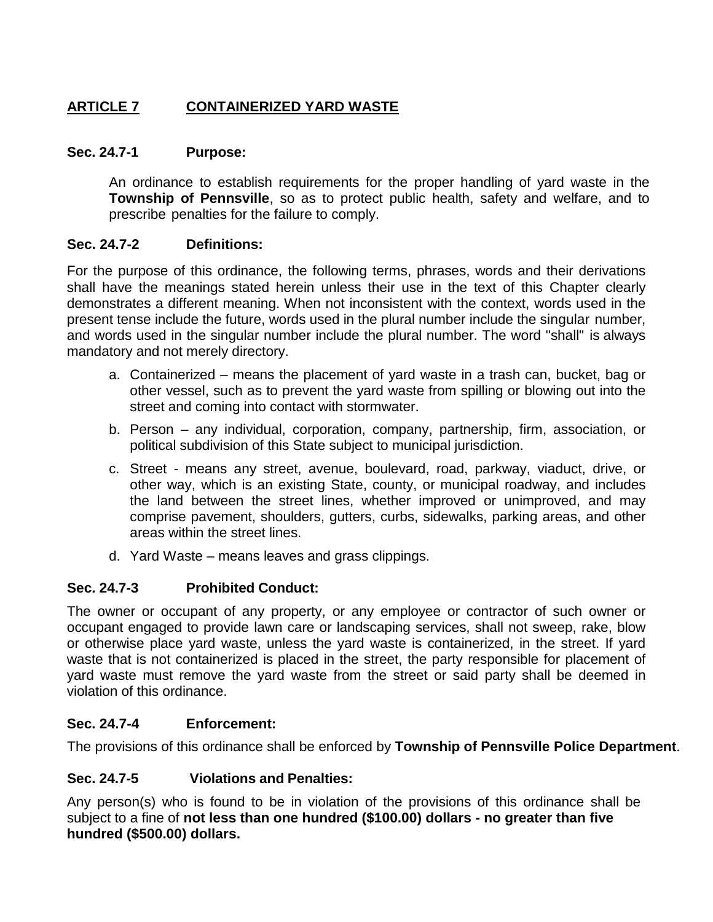# **ARTICLE 7 CONTAINERIZED YARD WASTE**

### **Sec. 24.7-1 Purpose:**

An ordinance to establish requirements for the proper handling of yard waste in the **Township of Pennsville**, so as to protect public health, safety and welfare, and to prescribe penalties for the failure to comply.

### **Sec. 24.7-2 Definitions:**

For the purpose of this ordinance, the following terms, phrases, words and their derivations shall have the meanings stated herein unless their use in the text of this Chapter clearly demonstrates a different meaning. When not inconsistent with the context, words used in the present tense include the future, words used in the plural number include the singular number, and words used in the singular number include the plural number. The word "shall" is always mandatory and not merely directory.

- a. Containerized means the placement of yard waste in a trash can, bucket, bag or other vessel, such as to prevent the yard waste from spilling or blowing out into the street and coming into contact with stormwater.
- b. Person any individual, corporation, company, partnership, firm, association, or political subdivision of this State subject to municipal jurisdiction.
- c. Street means any street, avenue, boulevard, road, parkway, viaduct, drive, or other way, which is an existing State, county, or municipal roadway, and includes the land between the street lines, whether improved or unimproved, and may comprise pavement, shoulders, gutters, curbs, sidewalks, parking areas, and other areas within the street lines.
- d. Yard Waste means leaves and grass clippings.

## **Sec. 24.7-3 Prohibited Conduct:**

The owner or occupant of any property, or any employee or contractor of such owner or occupant engaged to provide lawn care or landscaping services, shall not sweep, rake, blow or otherwise place yard waste, unless the yard waste is containerized, in the street. If yard waste that is not containerized is placed in the street, the party responsible for placement of yard waste must remove the yard waste from the street or said party shall be deemed in violation of this ordinance.

## **Sec. 24.7-4 Enforcement:**

The provisions of this ordinance shall be enforced by **Township of Pennsville Police Department**.

### **Sec. 24.7-5 Violations and Penalties:**

Any person(s) who is found to be in violation of the provisions of this ordinance shall be subject to a fine of **not less than one hundred (\$100.00) dollars - no greater than five hundred (\$500.00) dollars.**